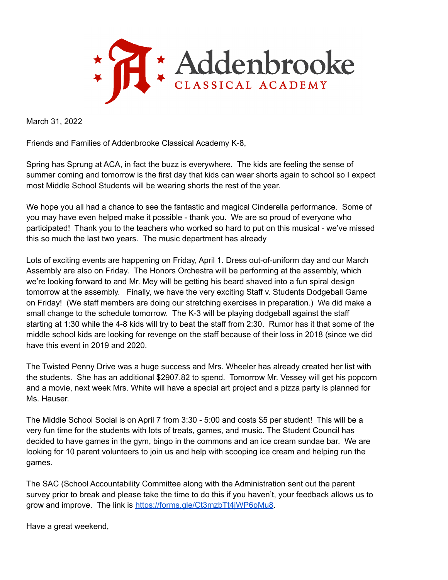

March 31, 2022

Friends and Families of Addenbrooke Classical Academy K-8,

Spring has Sprung at ACA, in fact the buzz is everywhere. The kids are feeling the sense of summer coming and tomorrow is the first day that kids can wear shorts again to school so I expect most Middle School Students will be wearing shorts the rest of the year.

We hope you all had a chance to see the fantastic and magical Cinderella performance. Some of you may have even helped make it possible - thank you. We are so proud of everyone who participated! Thank you to the teachers who worked so hard to put on this musical - we've missed this so much the last two years. The music department has already

Lots of exciting events are happening on Friday, April 1. Dress out-of-uniform day and our March Assembly are also on Friday. The Honors Orchestra will be performing at the assembly, which we're looking forward to and Mr. Mey will be getting his beard shaved into a fun spiral design tomorrow at the assembly. Finally, we have the very exciting Staff v. Students Dodgeball Game on Friday! (We staff members are doing our stretching exercises in preparation.) We did make a small change to the schedule tomorrow. The K-3 will be playing dodgeball against the staff starting at 1:30 while the 4-8 kids will try to beat the staff from 2:30. Rumor has it that some of the middle school kids are looking for revenge on the staff because of their loss in 2018 (since we did have this event in 2019 and 2020.

The Twisted Penny Drive was a huge success and Mrs. Wheeler has already created her list with the students. She has an additional \$2907.82 to spend. Tomorrow Mr. Vessey will get his popcorn and a movie, next week Mrs. White will have a special art project and a pizza party is planned for Ms. Hauser.

The Middle School Social is on April 7 from 3:30 - 5:00 and costs \$5 per student! This will be a very fun time for the students with lots of treats, games, and music. The Student Council has decided to have games in the gym, bingo in the commons and an ice cream sundae bar. We are looking for 10 parent volunteers to join us and help with scooping ice cream and helping run the games.

The SAC (School Accountability Committee along with the Administration sent out the parent survey prior to break and please take the time to do this if you haven't, your feedback allows us to grow and improve. The link is [https://forms.gle/Ct3mzbTt4jWP6pMu8.](https://forms.gle/Ct3mzbTt4jWP6pMu8)

Have a great weekend,